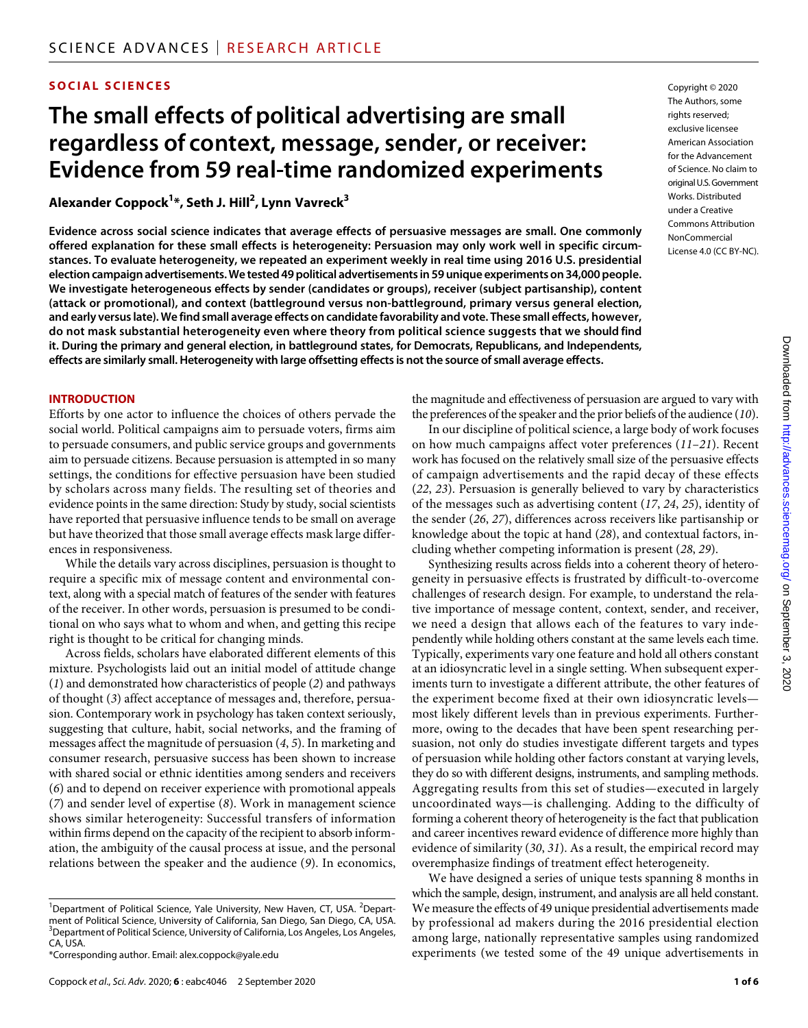# **SOCIAL SCIENCES**

# **The small effects of political advertising are small regardless of context, message, sender, or receiver: Evidence from 59 real-time randomized experiments**

**Alexander Coppock1 \*, Seth J. Hill2 , Lynn Vavreck3**

**Evidence across social science indicates that average effects of persuasive messages are small. One commonly offered explanation for these small effects is heterogeneity: Persuasion may only work well in specific circumstances. To evaluate heterogeneity, we repeated an experiment weekly in real time using 2016 U.S. presidential election campaign advertisements. We tested 49 political advertisements in 59 unique experiments on 34,000 people. We investigate heterogeneous effects by sender (candidates or groups), receiver (subject partisanship), content (attack or promotional), and context (battleground versus non-battleground, primary versus general election, and early versus late). We find small average effects on candidate favorability and vote. These small effects, however, do not mask substantial heterogeneity even where theory from political science suggests that we should find it. During the primary and general election, in battleground states, for Democrats, Republicans, and Independents, effects are similarly small. Heterogeneity with large offsetting effects is not the source of small average effects.**

#### **INTRODUCTION**

Efforts by one actor to influence the choices of others pervade the social world. Political campaigns aim to persuade voters, firms aim to persuade consumers, and public service groups and governments aim to persuade citizens. Because persuasion is attempted in so many settings, the conditions for effective persuasion have been studied by scholars across many fields. The resulting set of theories and evidence points in the same direction: Study by study, social scientists have reported that persuasive influence tends to be small on average but have theorized that those small average effects mask large differences in responsiveness.

While the details vary across disciplines, persuasion is thought to require a specific mix of message content and environmental context, along with a special match of features of the sender with features of the receiver. In other words, persuasion is presumed to be conditional on who says what to whom and when, and getting this recipe right is thought to be critical for changing minds.

Across fields, scholars have elaborated different elements of this mixture. Psychologists laid out an initial model of attitude change (*1*) and demonstrated how characteristics of people (*2*) and pathways of thought (*3*) affect acceptance of messages and, therefore, persuasion. Contemporary work in psychology has taken context seriously, suggesting that culture, habit, social networks, and the framing of messages affect the magnitude of persuasion (*4*, *5*). In marketing and consumer research, persuasive success has been shown to increase with shared social or ethnic identities among senders and receivers (*6*) and to depend on receiver experience with promotional appeals (*7*) and sender level of expertise (*8*). Work in management science shows similar heterogeneity: Successful transfers of information within firms depend on the capacity of the recipient to absorb information, the ambiguity of the causal process at issue, and the personal relations between the speaker and the audience (*9*). In economics, Copyright © 2020 The Authors, some rights reserved: exclusive licensee American Association for the Advancement of Science. No claim to original U.S.Government Works. Distributed under a Creative Commons Attribution **NonCommercial** License 4.0 (CC BY-NC).

the magnitude and effectiveness of persuasion are argued to vary with the preferences of the speaker and the prior beliefs of the audience (*10*).

In our discipline of political science, a large body of work focuses on how much campaigns affect voter preferences (*11*–*21*). Recent work has focused on the relatively small size of the persuasive effects of campaign advertisements and the rapid decay of these effects (*22*, *23*). Persuasion is generally believed to vary by characteristics of the messages such as advertising content (*17*, *24*, *25*), identity of the sender (*26*, *27*), differences across receivers like partisanship or knowledge about the topic at hand (*28*), and contextual factors, including whether competing information is present (*28*, *29*).

Synthesizing results across fields into a coherent theory of heterogeneity in persuasive effects is frustrated by difficult-to-overcome challenges of research design. For example, to understand the relative importance of message content, context, sender, and receiver, we need a design that allows each of the features to vary independently while holding others constant at the same levels each time. Typically, experiments vary one feature and hold all others constant at an idiosyncratic level in a single setting. When subsequent experiments turn to investigate a different attribute, the other features of the experiment become fixed at their own idiosyncratic levels most likely different levels than in previous experiments. Furthermore, owing to the decades that have been spent researching persuasion, not only do studies investigate different targets and types of persuasion while holding other factors constant at varying levels, they do so with different designs, instruments, and sampling methods. Aggregating results from this set of studies—executed in largely uncoordinated ways—is challenging. Adding to the difficulty of forming a coherent theory of heterogeneity is the fact that publication and career incentives reward evidence of difference more highly than evidence of similarity (*30*, *31*). As a result, the empirical record may overemphasize findings of treatment effect heterogeneity.

We have designed a series of unique tests spanning 8 months in which the sample, design, instrument, and analysis are all held constant. We measure the effects of 49 unique presidential advertisements made by professional ad makers during the 2016 presidential election among large, nationally representative samples using randomized experiments (we tested some of the 49 unique advertisements in

<sup>&</sup>lt;sup>1</sup>Department of Political Science, Yale University, New Haven, CT, USA. <sup>2</sup>Department of Political Science, University of California, San Diego, San Diego, CA, USA. <sup>3</sup>Department of Political Science, University of California, Los Angeles, Los Angeles, CA, USA.

<sup>\*</sup>Corresponding author. Email: alex.coppock@yale.edu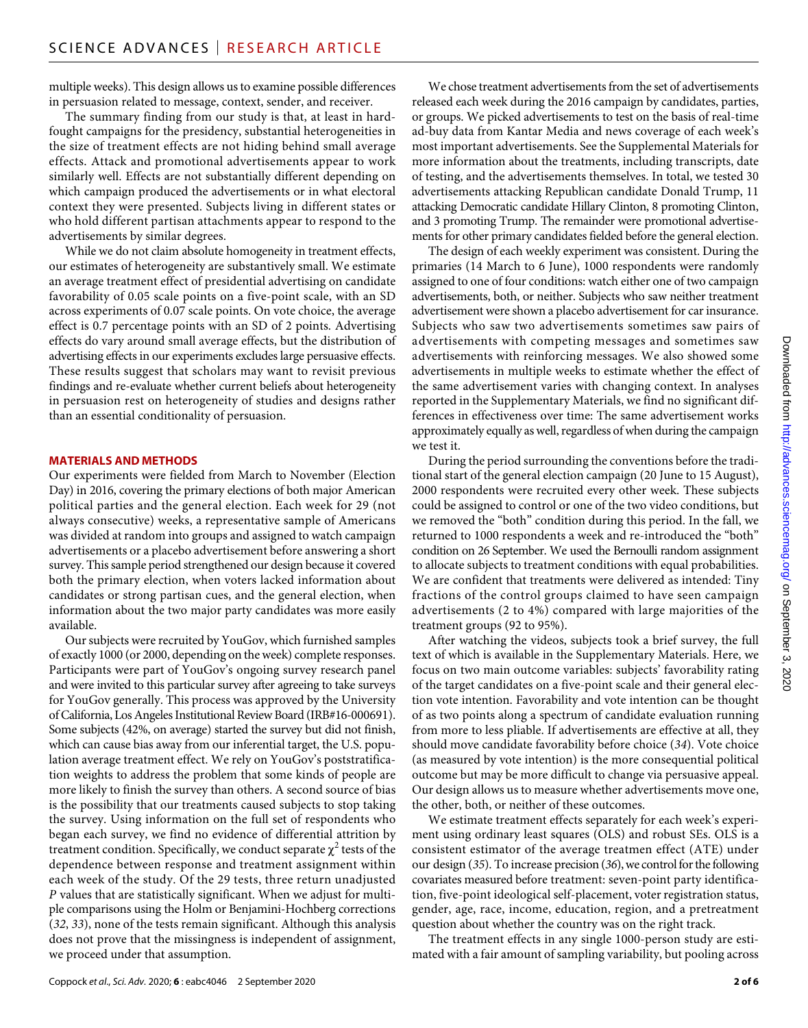multiple weeks). This design allows us to examine possible differences in persuasion related to message, context, sender, and receiver.

The summary finding from our study is that, at least in hardfought campaigns for the presidency, substantial heterogeneities in the size of treatment effects are not hiding behind small average effects. Attack and promotional advertisements appear to work similarly well. Effects are not substantially different depending on which campaign produced the advertisements or in what electoral context they were presented. Subjects living in different states or who hold different partisan attachments appear to respond to the advertisements by similar degrees.

While we do not claim absolute homogeneity in treatment effects, our estimates of heterogeneity are substantively small. We estimate an average treatment effect of presidential advertising on candidate favorability of 0.05 scale points on a five-point scale, with an SD across experiments of 0.07 scale points. On vote choice, the average effect is 0.7 percentage points with an SD of 2 points. Advertising effects do vary around small average effects, but the distribution of advertising effects in our experiments excludes large persuasive effects. These results suggest that scholars may want to revisit previous findings and re-evaluate whether current beliefs about heterogeneity in persuasion rest on heterogeneity of studies and designs rather than an essential conditionality of persuasion.

## **MATERIALS AND METHODS**

Our experiments were fielded from March to November (Election Day) in 2016, covering the primary elections of both major American political parties and the general election. Each week for 29 (not always consecutive) weeks, a representative sample of Americans was divided at random into groups and assigned to watch campaign advertisements or a placebo advertisement before answering a short survey. This sample period strengthened our design because it covered both the primary election, when voters lacked information about candidates or strong partisan cues, and the general election, when information about the two major party candidates was more easily available.

Our subjects were recruited by YouGov, which furnished samples of exactly 1000 (or 2000, depending on the week) complete responses. Participants were part of YouGov's ongoing survey research panel and were invited to this particular survey after agreeing to take surveys for YouGov generally. This process was approved by the University of California, Los Angeles Institutional Review Board (IRB#16-000691). Some subjects (42%, on average) started the survey but did not finish, which can cause bias away from our inferential target, the U.S. population average treatment effect. We rely on YouGov's poststratification weights to address the problem that some kinds of people are more likely to finish the survey than others. A second source of bias is the possibility that our treatments caused subjects to stop taking the survey. Using information on the full set of respondents who began each survey, we find no evidence of differential attrition by treatment condition. Specifically, we conduct separate  $\chi^2$  tests of the dependence between response and treatment assignment within each week of the study. Of the 29 tests, three return unadjusted *P* values that are statistically significant. When we adjust for multiple comparisons using the Holm or Benjamini-Hochberg corrections (*32*, *33*), none of the tests remain significant. Although this analysis does not prove that the missingness is independent of assignment, we proceed under that assumption.

We chose treatment advertisements from the set of advertisements released each week during the 2016 campaign by candidates, parties, or groups. We picked advertisements to test on the basis of real-time ad-buy data from Kantar Media and news coverage of each week's most important advertisements. See the Supplemental Materials for more information about the treatments, including transcripts, date of testing, and the advertisements themselves. In total, we tested 30 advertisements attacking Republican candidate Donald Trump, 11 attacking Democratic candidate Hillary Clinton, 8 promoting Clinton, and 3 promoting Trump. The remainder were promotional advertisements for other primary candidates fielded before the general election.

The design of each weekly experiment was consistent. During the primaries (14 March to 6 June), 1000 respondents were randomly assigned to one of four conditions: watch either one of two campaign advertisements, both, or neither. Subjects who saw neither treatment advertisement were shown a placebo advertisement for car insurance. Subjects who saw two advertisements sometimes saw pairs of advertisements with competing messages and sometimes saw advertisements with reinforcing messages. We also showed some advertisements in multiple weeks to estimate whether the effect of the same advertisement varies with changing context. In analyses reported in the Supplementary Materials, we find no significant differences in effectiveness over time: The same advertisement works approximately equally as well, regardless of when during the campaign we test it.

During the period surrounding the conventions before the traditional start of the general election campaign (20 June to 15 August), 2000 respondents were recruited every other week. These subjects could be assigned to control or one of the two video conditions, but we removed the "both" condition during this period. In the fall, we returned to 1000 respondents a week and re-introduced the "both" condition on 26 September. We used the Bernoulli random assignment to allocate subjects to treatment conditions with equal probabilities. We are confident that treatments were delivered as intended: Tiny fractions of the control groups claimed to have seen campaign advertisements (2 to 4%) compared with large majorities of the treatment groups (92 to 95%).

After watching the videos, subjects took a brief survey, the full text of which is available in the Supplementary Materials. Here, we focus on two main outcome variables: subjects' favorability rating of the target candidates on a five-point scale and their general election vote intention. Favorability and vote intention can be thought of as two points along a spectrum of candidate evaluation running from more to less pliable. If advertisements are effective at all, they should move candidate favorability before choice (*34*). Vote choice (as measured by vote intention) is the more consequential political outcome but may be more difficult to change via persuasive appeal. Our design allows us to measure whether advertisements move one, the other, both, or neither of these outcomes.

We estimate treatment effects separately for each week's experiment using ordinary least squares (OLS) and robust SEs. OLS is a consistent estimator of the average treatmen effect (ATE) under our design (*35*). To increase precision (*36*), we control for the following covariates measured before treatment: seven-point party identification, five-point ideological self-placement, voter registration status, gender, age, race, income, education, region, and a pretreatment question about whether the country was on the right track.

The treatment effects in any single 1000-person study are estimated with a fair amount of sampling variability, but pooling across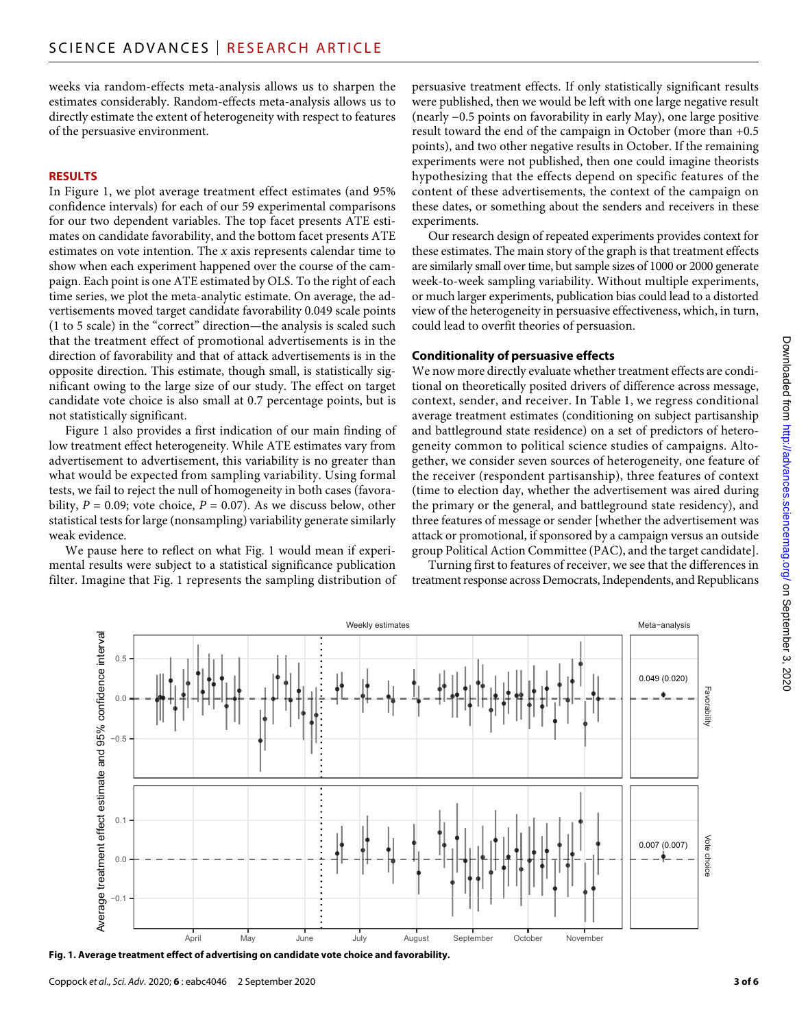weeks via random-effects meta-analysis allows us to sharpen the estimates considerably. Random-effects meta-analysis allows us to directly estimate the extent of heterogeneity with respect to features of the persuasive environment.

#### **RESULTS**

In Figure 1, we plot average treatment effect estimates (and 95% confidence intervals) for each of our 59 experimental comparisons for our two dependent variables. The top facet presents ATE estimates on candidate favorability, and the bottom facet presents ATE estimates on vote intention. The *x* axis represents calendar time to show when each experiment happened over the course of the campaign. Each point is one ATE estimated by OLS. To the right of each time series, we plot the meta-analytic estimate. On average, the advertisements moved target candidate favorability 0.049 scale points (1 to 5 scale) in the "correct" direction—the analysis is scaled such that the treatment effect of promotional advertisements is in the direction of favorability and that of attack advertisements is in the opposite direction. This estimate, though small, is statistically significant owing to the large size of our study. The effect on target candidate vote choice is also small at 0.7 percentage points, but is not statistically significant.

Figure 1 also provides a first indication of our main finding of low treatment effect heterogeneity. While ATE estimates vary from advertisement to advertisement, this variability is no greater than what would be expected from sampling variability. Using formal tests, we fail to reject the null of homogeneity in both cases (favorability,  $P = 0.09$ ; vote choice,  $P = 0.07$ ). As we discuss below, other statistical tests for large (nonsampling) variability generate similarly weak evidence.

We pause here to reflect on what Fig. 1 would mean if experimental results were subject to a statistical significance publication filter. Imagine that Fig. 1 represents the sampling distribution of persuasive treatment effects. If only statistically significant results were published, then we would be left with one large negative result (nearly −0.5 points on favorability in early May), one large positive result toward the end of the campaign in October (more than +0.5 points), and two other negative results in October. If the remaining experiments were not published, then one could imagine theorists hypothesizing that the effects depend on specific features of the content of these advertisements, the context of the campaign on these dates, or something about the senders and receivers in these experiments.

Our research design of repeated experiments provides context for these estimates. The main story of the graph is that treatment effects are similarly small over time, but sample sizes of 1000 or 2000 generate week-to-week sampling variability. Without multiple experiments, or much larger experiments, publication bias could lead to a distorted view of the heterogeneity in persuasive effectiveness, which, in turn, could lead to overfit theories of persuasion.

## **Conditionality of persuasive effects**

We now more directly evaluate whether treatment effects are conditional on theoretically posited drivers of difference across message, context, sender, and receiver. In Table 1, we regress conditional average treatment estimates (conditioning on subject partisanship and battleground state residence) on a set of predictors of heterogeneity common to political science studies of campaigns. Altogether, we consider seven sources of heterogeneity, one feature of the receiver (respondent partisanship), three features of context (time to election day, whether the advertisement was aired during the primary or the general, and battleground state residency), and three features of message or sender [whether the advertisement was attack or promotional, if sponsored by a campaign versus an outside group Political Action Committee (PAC), and the target candidate].

Turning first to features of receiver, we see that the differences in treatment response across Democrats, Independents, and Republicans

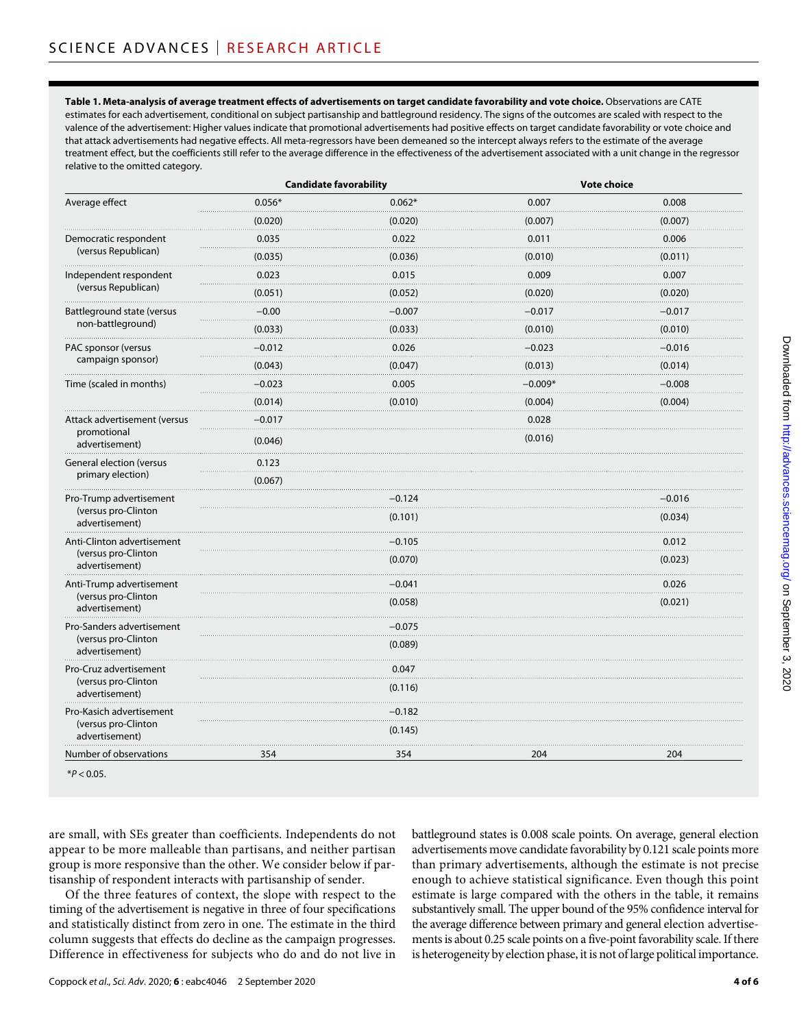**Table 1. Meta-analysis of average treatment effects of advertisements on target candidate favorability and vote choice.** Observations are CATE estimates for each advertisement, conditional on subject partisanship and battleground residency. The signs of the outcomes are scaled with respect to the valence of the advertisement: Higher values indicate that promotional advertisements had positive effects on target candidate favorability or vote choice and that attack advertisements had negative effects. All meta-regressors have been demeaned so the intercept always refers to the estimate of the average treatment effect, but the coefficients still refer to the average difference in the effectiveness of the advertisement associated with a unit change in the regressor relative to the omitted category.

| Average effect                                                      | <b>Candidate favorability</b> |          | <b>Vote choice</b> |          |
|---------------------------------------------------------------------|-------------------------------|----------|--------------------|----------|
|                                                                     | $0.056*$                      | $0.062*$ | 0.007              | 0.008    |
|                                                                     | (0.020)                       | (0.020)  | (0.007)            | (0.007)  |
| Democratic respondent<br>(versus Republican)                        | 0.035                         | 0.022    | 0.011              | 0.006    |
|                                                                     | (0.035)                       | (0.036)  | (0.010)            | (0.011)  |
| Independent respondent<br>(versus Republican)                       | 0.023                         | 0.015    | 0.009              | 0.007    |
|                                                                     | (0.051)                       | (0.052)  | (0.020)            | (0.020)  |
| Battleground state (versus<br>non-battleground)                     | $-0.00$                       | $-0.007$ | $-0.017$           | $-0.017$ |
|                                                                     | (0.033)                       | (0.033)  | (0.010)            | (0.010)  |
| PAC sponsor (versus<br>campaign sponsor)                            | $-0.012$                      | 0.026    | $-0.023$           | $-0.016$ |
|                                                                     | (0.043)                       | (0.047)  | (0.013)            | (0.014)  |
| Time (scaled in months)                                             | $-0.023$                      | 0.005    | $-0.009*$          | $-0.008$ |
|                                                                     | (0.014)                       | (0.010)  | (0.004)            | (0.004)  |
| Attack advertisement (versus<br>promotional<br>advertisement)       | $-0.017$                      |          | 0.028              |          |
|                                                                     | (0.046)                       |          | (0.016)            |          |
| General election (versus<br>primary election)                       | 0.123                         |          |                    |          |
|                                                                     | (0.067)                       |          |                    |          |
| Pro-Trump advertisement<br>(versus pro-Clinton<br>advertisement)    |                               | $-0.124$ |                    | $-0.016$ |
|                                                                     |                               | (0.101)  |                    | (0.034)  |
| Anti-Clinton advertisement<br>(versus pro-Clinton<br>advertisement) |                               | $-0.105$ |                    | 0.012    |
|                                                                     |                               | (0.070)  |                    | (0.023)  |
| Anti-Trump advertisement<br>(versus pro-Clinton<br>advertisement)   |                               | $-0.041$ |                    | 0.026    |
|                                                                     |                               | (0.058)  |                    | (0.021)  |
| Pro-Sanders advertisement<br>(versus pro-Clinton<br>advertisement)  |                               | $-0.075$ |                    |          |
|                                                                     |                               | (0.089)  |                    |          |
| Pro-Cruz advertisement<br>(versus pro-Clinton<br>advertisement)     |                               | 0.047    |                    |          |
|                                                                     |                               | (0.116)  |                    |          |
| Pro-Kasich advertisement<br>(versus pro-Clinton<br>advertisement)   |                               | $-0.182$ |                    |          |
|                                                                     |                               | (0.145)  |                    |          |
| Number of observations                                              | 354                           | 354      | 204                | 204      |

\**P* < 0.05.

are small, with SEs greater than coefficients. Independents do not appear to be more malleable than partisans, and neither partisan group is more responsive than the other. We consider below if partisanship of respondent interacts with partisanship of sender.

Of the three features of context, the slope with respect to the timing of the advertisement is negative in three of four specifications and statistically distinct from zero in one. The estimate in the third column suggests that effects do decline as the campaign progresses. Difference in effectiveness for subjects who do and do not live in

battleground states is 0.008 scale points. On average, general election advertisements move candidate favorability by 0.121 scale points more than primary advertisements, although the estimate is not precise enough to achieve statistical significance. Even though this point estimate is large compared with the others in the table, it remains substantively small. The upper bound of the 95% confidence interval for the average difference between primary and general election advertisements is about 0.25 scale points on a five-point favorability scale. If there is heterogeneity by election phase, it is not of large political importance.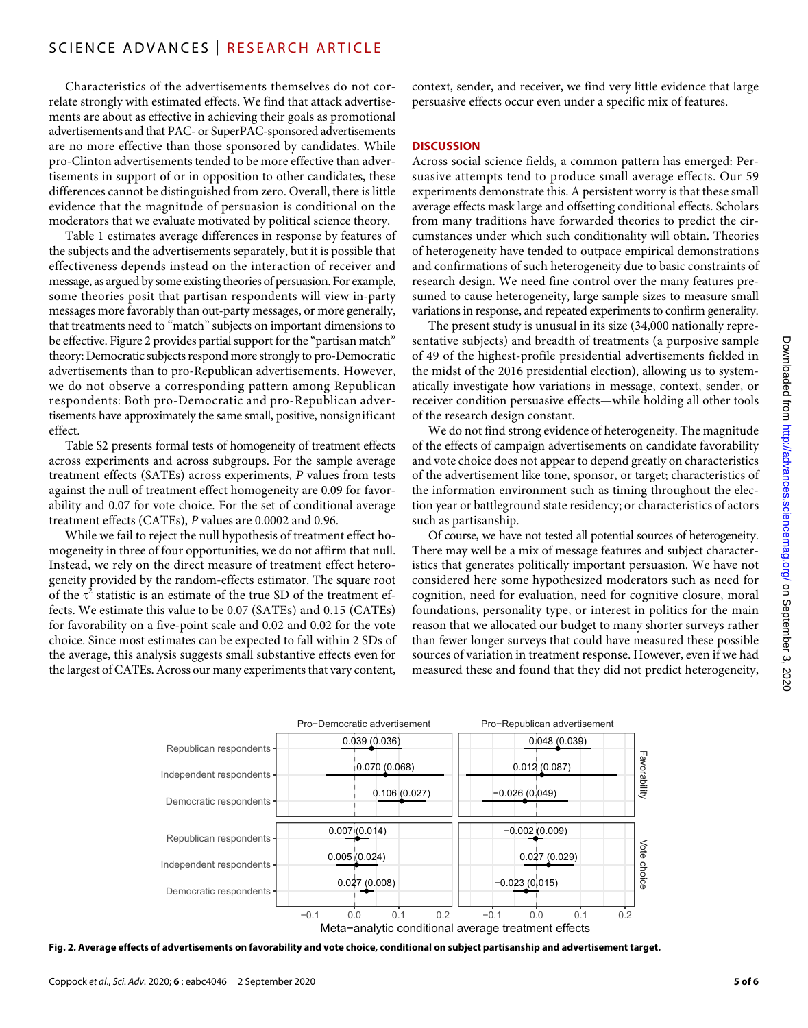Characteristics of the advertisements themselves do not correlate strongly with estimated effects. We find that attack advertisements are about as effective in achieving their goals as promotional advertisements and that PAC- or SuperPAC-sponsored advertisements are no more effective than those sponsored by candidates. While pro-Clinton advertisements tended to be more effective than advertisements in support of or in opposition to other candidates, these differences cannot be distinguished from zero. Overall, there is little evidence that the magnitude of persuasion is conditional on the moderators that we evaluate motivated by political science theory.

Table 1 estimates average differences in response by features of the subjects and the advertisements separately, but it is possible that effectiveness depends instead on the interaction of receiver and message, as argued by some existing theories of persuasion. For example, some theories posit that partisan respondents will view in-party messages more favorably than out-party messages, or more generally, that treatments need to "match" subjects on important dimensions to be effective. Figure 2 provides partial support for the "partisan match" theory: Democratic subjects respond more strongly to pro-Democratic advertisements than to pro-Republican advertisements. However, we do not observe a corresponding pattern among Republican respondents: Both pro-Democratic and pro-Republican advertisements have approximately the same small, positive, nonsignificant effect.

Table S2 presents formal tests of homogeneity of treatment effects across experiments and across subgroups. For the sample average treatment effects (SATEs) across experiments, *P* values from tests against the null of treatment effect homogeneity are 0.09 for favorability and 0.07 for vote choice. For the set of conditional average treatment effects (CATEs), *P* values are 0.0002 and 0.96.

While we fail to reject the null hypothesis of treatment effect homogeneity in three of four opportunities, we do not affirm that null. Instead, we rely on the direct measure of treatment effect heterogeneity provided by the random-effects estimator. The square root of the  $\tau^2$  statistic is an estimate of the true SD of the treatment effects. We estimate this value to be 0.07 (SATEs) and 0.15 (CATEs) for favorability on a five-point scale and 0.02 and 0.02 for the vote choice. Since most estimates can be expected to fall within 2 SDs of the average, this analysis suggests small substantive effects even for the largest of CATEs. Across our many experiments that vary content,

context, sender, and receiver, we find very little evidence that large persuasive effects occur even under a specific mix of features.

#### **DISCUSSION**

Across social science fields, a common pattern has emerged: Persuasive attempts tend to produce small average effects. Our 59 experiments demonstrate this. A persistent worry is that these small average effects mask large and offsetting conditional effects. Scholars from many traditions have forwarded theories to predict the circumstances under which such conditionality will obtain. Theories of heterogeneity have tended to outpace empirical demonstrations and confirmations of such heterogeneity due to basic constraints of research design. We need fine control over the many features presumed to cause heterogeneity, large sample sizes to measure small variations in response, and repeated experiments to confirm generality.

The present study is unusual in its size (34,000 nationally representative subjects) and breadth of treatments (a purposive sample of 49 of the highest-profile presidential advertisements fielded in the midst of the 2016 presidential election), allowing us to systematically investigate how variations in message, context, sender, or receiver condition persuasive effects—while holding all other tools of the research design constant.

We do not find strong evidence of heterogeneity. The magnitude of the effects of campaign advertisements on candidate favorability and vote choice does not appear to depend greatly on characteristics of the advertisement like tone, sponsor, or target; characteristics of the information environment such as timing throughout the election year or battleground state residency; or characteristics of actors such as partisanship.

Of course, we have not tested all potential sources of heterogeneity. There may well be a mix of message features and subject characteristics that generates politically important persuasion. We have not considered here some hypothesized moderators such as need for cognition, need for evaluation, need for cognitive closure, moral foundations, personality type, or interest in politics for the main reason that we allocated our budget to many shorter surveys rather than fewer longer surveys that could have measured these possible sources of variation in treatment response. However, even if we had measured these and found that they did not predict heterogeneity,



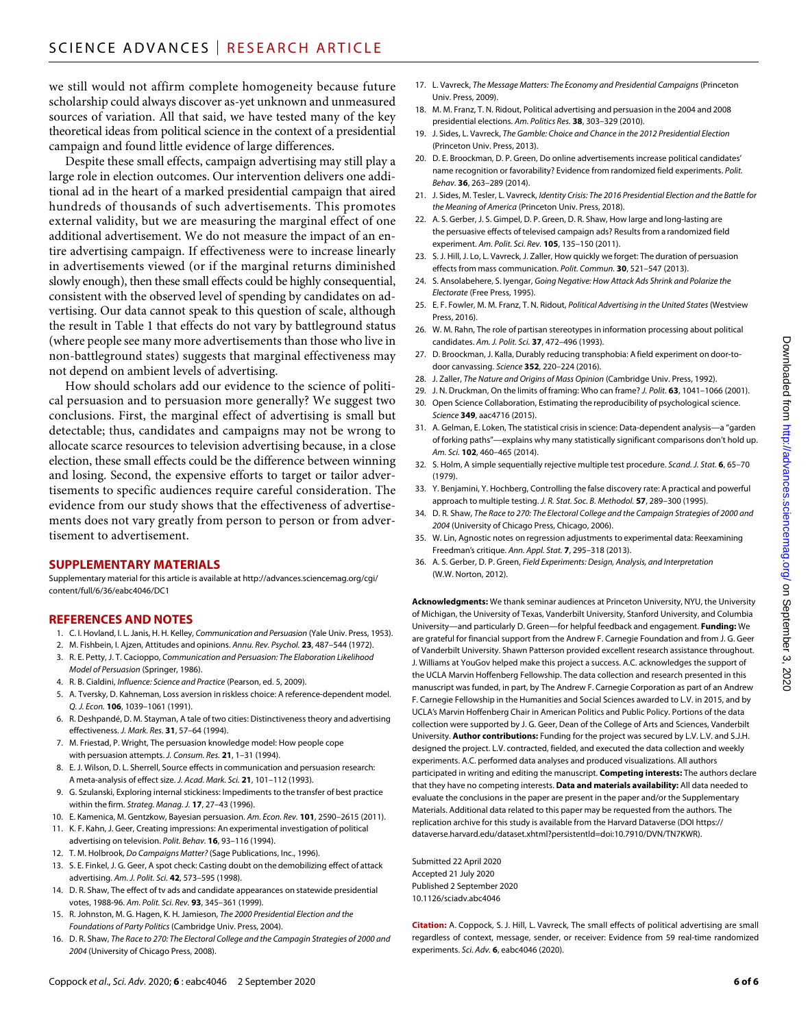we still would not affirm complete homogeneity because future scholarship could always discover as-yet unknown and unmeasured sources of variation. All that said, we have tested many of the key theoretical ideas from political science in the context of a presidential campaign and found little evidence of large differences.

Despite these small effects, campaign advertising may still play a large role in election outcomes. Our intervention delivers one additional ad in the heart of a marked presidential campaign that aired hundreds of thousands of such advertisements. This promotes external validity, but we are measuring the marginal effect of one additional advertisement. We do not measure the impact of an entire advertising campaign. If effectiveness were to increase linearly in advertisements viewed (or if the marginal returns diminished slowly enough), then these small effects could be highly consequential, consistent with the observed level of spending by candidates on advertising. Our data cannot speak to this question of scale, although the result in Table 1 that effects do not vary by battleground status (where people see many more advertisements than those who live in non-battleground states) suggests that marginal effectiveness may not depend on ambient levels of advertising.

How should scholars add our evidence to the science of political persuasion and to persuasion more generally? We suggest two conclusions. First, the marginal effect of advertising is small but detectable; thus, candidates and campaigns may not be wrong to allocate scarce resources to television advertising because, in a close election, these small effects could be the difference between winning and losing. Second, the expensive efforts to target or tailor advertisements to specific audiences require careful consideration. The evidence from our study shows that the effectiveness of advertisements does not vary greatly from person to person or from advertisement to advertisement.

#### **SUPPLEMENTARY MATERIALS**

Supplementary material for this article is available at [http://advances.sciencemag.org/cgi/](http://advances.sciencemag.org/cgi/content/full/6/36/eabc4046/DC1) [content/full/6/36/eabc4046/DC1](http://advances.sciencemag.org/cgi/content/full/6/36/eabc4046/DC1)

#### **REFERENCES AND NOTES**

- 1. C. I. Hovland, I. L. Janis, H. H. Kelley, *Communication and Persuasion* (Yale Univ. Press, 1953).
- 2. M. Fishbein, I. Ajzen, Attitudes and opinions. *Annu. Rev. Psychol.* **23**, 487–544 (1972).
- 3. R. E. Petty, J. T. Cacioppo, *Communication and Persuasion: The Elaboration Likelihood Model of Persuasion* (Springer, 1986).
- 4. R. B. Cialdini, *Influence: Science and Practice* (Pearson, ed. 5, 2009).
- 5. A. Tversky, D. Kahneman, Loss aversion in riskless choice: A reference-dependent model. *Q. J. Econ.* **106**, 1039–1061 (1991).
- 6. R. Deshpandé, D. M. Stayman, A tale of two cities: Distinctiveness theory and advertising effectiveness. *J. Mark. Res.* **31**, 57–64 (1994).
- 7. M. Friestad, P. Wright, The persuasion knowledge model: How people cope with persuasion attempts. *J. Consum. Res.* **21**, 1–31 (1994).
- 8. E. J. Wilson, D. L. Sherrell, Source effects in communication and persuasion research: A meta-analysis of effect size. *J. Acad. Mark. Sci.* **21**, 101–112 (1993).
- 9. G. Szulanski, Exploring internal stickiness: Impediments to the transfer of best practice within the firm. *Strateg. Manag. J.* **17**, 27–43 (1996).
- 10. E. Kamenica, M. Gentzkow, Bayesian persuasion. *Am. Econ. Rev.* **101**, 2590–2615 (2011).
- 11. K. F. Kahn, J. Geer, Creating impressions: An experimental investigation of political advertising on television. *Polit. Behav.* **16**, 93–116 (1994).
- 12. T. M. Holbrook, *Do Campaigns Matter?* (Sage Publications, Inc., 1996).
- 13. S. E. Finkel, J. G. Geer, A spot check: Casting doubt on the demobilizing effect of attack advertising. *Am. J. Polit. Sci.* **42**, 573–595 (1998).
- 14. D. R. Shaw, The effect of tv ads and candidate appearances on statewide presidential votes, 1988-96. *Am. Polit. Sci. Rev.* **93**, 345–361 (1999).
- 15. R. Johnston, M. G. Hagen, K. H. Jamieson, *The 2000 Presidential Election and the Foundations of Party Politics* (Cambridge Univ. Press, 2004).
- 16. D. R. Shaw, *The Race to 270: The Electoral College and the Campagin Strategies of 2000 and 2004* (University of Chicago Press, 2008).
- 17. L. Vavreck, *The Message Matters: The Economy and Presidential Campaigns* (Princeton Univ. Press, 2009).
- 18. M. M. Franz, T. N. Ridout, Political advertising and persuasion in the 2004 and 2008 presidential elections. *Am. Politics Res.* **38**, 303–329 (2010).
- 19. J. Sides, L. Vavreck, *The Gamble: Choice and Chance in the 2012 Presidential Election* (Princeton Univ. Press, 2013).
- 20. D. E. Broockman, D. P. Green, Do online advertisements increase political candidates' name recognition or favorability? Evidence from randomized field experiments. *Polit. Behav.* **36**, 263–289 (2014).
- 21. J. Sides, M. Tesler, L. Vavreck, *Identity Crisis: The 2016 Presidential Election and the Battle for the Meaning of America* (Princeton Univ. Press, 2018).
- 22. A. S. Gerber, J. S. Gimpel, D. P. Green, D. R. Shaw, How large and long-lasting are the persuasive effects of televised campaign ads? Results from a randomized field experiment. *Am. Polit. Sci. Rev.* **105**, 135–150 (2011).
- 23. S. J. Hill, J. Lo, L. Vavreck, J. Zaller, How quickly we forget: The duration of persuasion effects from mass communication. *Polit. Commun.* **30**, 521–547 (2013).
- 24. S. Ansolabehere, S. Iyengar, *Going Negative: How Attack Ads Shrink and Polarize the Electorate* (Free Press, 1995).
- 25. E. F. Fowler, M. M. Franz, T. N. Ridout, *Political Advertising in the United States* (Westview Press, 2016).
- 26. W. M. Rahn, The role of partisan stereotypes in information processing about political candidates. *Am. J. Polit. Sci.* **37**, 472–496 (1993).
- 27. D. Broockman, J. Kalla, Durably reducing transphobia: A field experiment on door-todoor canvassing. *Science* **352**, 220–224 (2016).
- 28. J. Zaller, *The Nature and Origins of Mass Opinion* (Cambridge Univ. Press, 1992).
- 29. J. N. Druckman, On the limits of framing: Who can frame? *J. Polit.* **63**, 1041–1066 (2001). 30. Open Science Collaboration, Estimating the reproducibility of psychological science. *Science* **349**, aac4716 (2015).
- 31. A. Gelman, E. Loken, The statistical crisis in science: Data-dependent analysis—a "garden of forking paths"—explains why many statistically significant comparisons don't hold up. *Am. Sci.* **102**, 460–465 (2014).
- 32. S. Holm, A simple sequentially rejective multiple test procedure. *Scand. J. Stat.* **6**, 65–70 (1979).
- 33. Y. Benjamini, Y. Hochberg, Controlling the false discovery rate: A practical and powerful approach to multiple testing. *J. R. Stat. Soc. B. Methodol.* **57**, 289–300 (1995).
- 34. D. R. Shaw, *The Race to 270: The Electoral College and the Campaign Strategies of 2000 and 2004* (University of Chicago Press, Chicago, 2006).
- 35. W. Lin, Agnostic notes on regression adjustments to experimental data: Reexamining Freedman's critique. *Ann. Appl. Stat.* **7**, 295–318 (2013).
- 36. A. S. Gerber, D. P. Green, *Field Experiments: Design, Analysis, and Interpretation* (W.W. Norton, 2012).

**Acknowledgments:** We thank seminar audiences at Princeton University, NYU, the University of Michigan, the University of Texas, Vanderbilt University, Stanford University, and Columbia University—and particularly D. Green—for helpful feedback and engagement. **Funding:** We are grateful for financial support from the Andrew F. Carnegie Foundation and from J. G. Geer of Vanderbilt University. Shawn Patterson provided excellent research assistance throughout. J. Williams at YouGov helped make this project a success. A.C. acknowledges the support of the UCLA Marvin Hoffenberg Fellowship. The data collection and research presented in this manuscript was funded, in part, by The Andrew F. Carnegie Corporation as part of an Andrew F. Carnegie Fellowship in the Humanities and Social Sciences awarded to L.V. in 2015, and by UCLA's Marvin Hoffenberg Chair in American Politics and Public Policy. Portions of the data collection were supported by J. G. Geer, Dean of the College of Arts and Sciences, Vanderbilt University. **Author contributions:** Funding for the project was secured by L.V. L.V. and S.J.H. designed the project. L.V. contracted, fielded, and executed the data collection and weekly experiments. A.C. performed data analyses and produced visualizations. All authors participated in writing and editing the manuscript. **Competing interests:** The authors declare that they have no competing interests. **Data and materials availability:** All data needed to evaluate the conclusions in the paper are present in the paper and/or the Supplementary Materials. Additional data related to this paper may be requested from the authors. The replication archive for this study is available from the Harvard Dataverse (DOI [https://](https://dataverse.harvard.edu/dataset.xhtml?persistentId=doi:10.7910/DVN/TN7KWR) [dataverse.harvard.edu/dataset.xhtml?persistentId=doi:10.7910/DVN/TN7KWR](https://dataverse.harvard.edu/dataset.xhtml?persistentId=doi:10.7910/DVN/TN7KWR)).

Submitted 22 April 2020 Accepted 21 July 2020 Published 2 September 2020 10.1126/sciadv.abc4046

**Citation:** A. Coppock, S. J. Hill, L. Vavreck, The small effects of political advertising are small regardless of context, message, sender, or receiver: Evidence from 59 real-time randomized experiments. *Sci. Adv.* **6**, eabc4046 (2020).